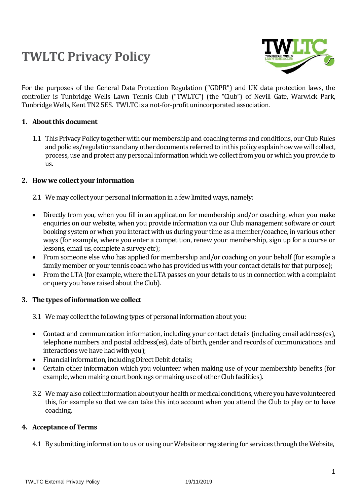# **TWLTC Privacy Policy**



For the purposes of the General Data Protection Regulation ("GDPR") and UK data protection laws, the controller is Tunbridge Wells Lawn Tennis Club ("TWLTC") (the "Club") of Nevill Gate, Warwick Park, Tunbridge Wells, Kent TN2 5ES. TWLTC is a not-for-profit unincorporated association.

# **1. About this document**

1.1 This Privacy Policy together with our membership and coaching terms and conditions, our Club Rules and policies/regulations and any other documents referred to in this policy explain how we will collect, process, use and protect any personal information which we collect from you or which you provide to us.

### **2. How we collect your information**

- 2.1 We may collect your personal information in a few limited ways, namely:
- Directly from you, when you fill in an application for membership and/or coaching, when you make enquiries on our website, when you provide information via our Club management software or court booking system or when you interact with us during your time as a member/coachee, in various other ways (for example, where you enter a competition, renew your membership, sign up for a course or lessons, email us, complete a survey etc);
- From someone else who has applied for membership and/or coaching on your behalf (for example a family member or your tennis coach who has provided us with your contact details for that purpose);
- From the LTA (for example, where the LTA passes on your details to us in connection with a complaint or query you have raised about the Club).

# **3. The types of information we collect**

- 3.1 We may collect the following types of personal information about you:
- Contact and communication information, including your contact details (including email address(es), telephone numbers and postal address(es), date of birth, gender and records of communications and interactions we have had with you);
- Financial information, including Direct Debit details;
- Certain other information which you volunteer when making use of your membership benefits (for example, when making court bookings or making use of other Club facilities).
- 3.2 We may also collect information about your health or medical conditions, where you have volunteered this, for example so that we can take this into account when you attend the Club to play or to have coaching.

# **4. Acceptance of Terms**

4.1 By submitting information to us or using our Website or registering for services through the Website,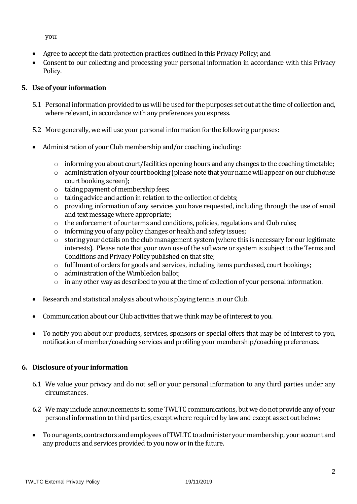you:

- Agree to accept the data protection practices outlined in this Privacy Policy; and
- Consent to our collecting and processing your personal information in accordance with this Privacy Policy.

# **5. Use of your information**

- 5.1 Personal information provided to us will be used for the purposes set out at the time of collection and, where relevant, in accordance with any preferences you express.
- 5.2 More generally, we will use your personal information for the following purposes:
- Administration of your Club membership and/or coaching, including:
	- $\circ$  informing you about court/facilities opening hours and any changes to the coaching timetable;
	- o administration of your court booking (please note that your name will appear on our clubhouse court booking screen);
	- o taking payment of membership fees;
	- o taking advice and action in relation to the collection of debts;
	- o providing information of any services you have requested, including through the use of email and text message where appropriate;
	- o the enforcement of our terms and conditions, policies, regulations and Club rules;
	- o informing you of any policy changes or health and safety issues;
	- o storing your details on the club management system (where this is necessary for our legitimate interests). Please note that your own use of the software or system is subject to the Terms and Conditions and Privacy Policy published on that site;
	- o fulfilment of orders for goods and services, including items purchased, court bookings;
	- o administration of the Wimbledon ballot;
	- o in any other way as described to you at the time of collection of your personal information.
- Research and statistical analysis about who is playing tennis in our Club.
- Communication about our Club activities that we think may be of interest to you.
- To notify you about our products, services, sponsors or special offers that may be of interest to you, notification of member/coaching services and profiling your membership/coaching preferences.

# **6. Disclosure of your information**

- 6.1 We value your privacy and do not sell or your personal information to any third parties under any circumstances.
- 6.2 We may include announcements in some TWLTC communications, but we do not provide any of your personal information to third parties, except where required by law and except as set out below:
- To our agents, contractors and employees of TWLTC to administer your membership, your account and any products and services provided to you now or in the future.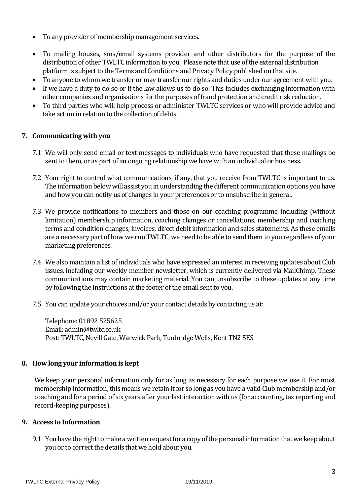- To any provider of membership management services.
- To mailing houses, sms/email systems provider and other distributors for the purpose of the distribution of other TWLTC information to you. Please note that use of the external distribution platform is subject to the Terms and Conditions and Privacy Policy published on that site.
- To anyone to whom we transfer or may transfer our rights and duties under our agreement with you.
- If we have a duty to do so or if the law allows us to do so. This includes exchanging information with other companies and organisations for the purposes of fraud protection and credit risk reduction.
- To third parties who will help process or administer TWLTC services or who will provide advice and take action in relation to the collection of debts.

# **7. Communicating with you**

- 7.1 We will only send email or text messages to individuals who have requested that these mailings be sent to them, or as part of an ongoing relationship we have with an individual or business.
- 7.2 Your right to control what communications, if any, that you receive from TWLTC is important to us. The information below will assist you in understanding the different communication options you have and how you can notify us of changes in your preferences or to unsubscribe in general.
- 7.3 We provide notifications to members and those on our coaching programme including (without limitation) membership information, coaching changes or cancellations, membership and coaching terms and condition changes, invoices, direct debit information and sales statements. As these emails are a necessary part of how we run TWLTC, we need to be able to send them to you regardless of your marketing preferences.
- 7.4 We also maintain a list of individuals who have expressed an interest in receiving updates about Club issues, including our weekly member newsletter, which is currently delivered via MailChimp. These communications may contain marketing material. You can unsubscribe to these updates at any time by following the instructions at the footer of the email sent to you.
- 7.5 You can update your choices and/or your contact details by contacting us at:

Telephone: 01892 525625 Email: admin@twltc.co.uk Post: TWLTC, Nevill Gate, Warwick Park, Tunbridge Wells, Kent TN2 5ES

# **8. How long your information is kept**

We keep your personal information only for as long as necessary for each purpose we use it. For most membership information, this means we retain it for so long as you have a valid Club membership and/or coaching and for a period of six years after your last interaction with us (for accounting, tax reporting and record-keeping purposes).

# **9. Access to Information**

9.1 You have the right to make a written request for a copy of the personal information that we keep about you or to correct the details that we hold about you.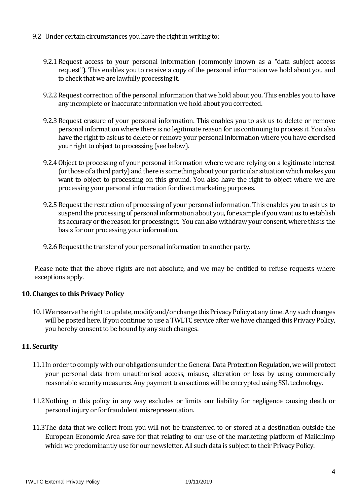- 9.2 Under certain circumstances you have the right in writing to:
	- 9.2.1Request access to your personal information (commonly known as a "data subject access request"). This enables you to receive a copy of the personal information we hold about you and to check that we are lawfully processing it.
	- 9.2.2Request correction of the personal information that we hold about you. This enables you to have any incomplete or inaccurate information we hold about you corrected.
	- 9.2.3Request erasure of your personal information. This enables you to ask us to delete or remove personal information where there is no legitimate reason for us continuing to process it. You also have the right to ask us to delete or remove your personal information where you have exercised your right to object to processing (see below).
	- 9.2.4Object to processing of your personal information where we are relying on a legitimate interest (or those of a third party) and there is something about your particular situation which makes you want to object to processing on this ground. You also have the right to object where we are processing your personal information for direct marketing purposes.
	- 9.2.5Request the restriction of processing of your personal information. This enables you to ask us to suspend the processing of personal information about you, for example if you want us to establish its accuracy or the reason for processing it. You can also withdraw your consent, where this is the basis for our processing your information.
	- 9.2.6 Request the transfer of your personal information to another party.

Please note that the above rights are not absolute, and we may be entitled to refuse requests where exceptions apply.

#### **10. Changes to this Privacy Policy**

10.1We reserve the right to update, modify and/or change this Privacy Policy at any time. Any such changes will be posted here. If you continue to use a TWLTC service after we have changed this Privacy Policy, you hereby consent to be bound by any such changes.

#### **11. Security**

- 11.1In order to comply with our obligations under the General Data Protection Regulation, we will protect your personal data from unauthorised access, misuse, alteration or loss by using commercially reasonable security measures. Any payment transactions will be encrypted using SSL technology.
- 11.2Nothing in this policy in any way excludes or limits our liability for negligence causing death or personal injury or for fraudulent misrepresentation.
- 11.3The data that we collect from you will not be transferred to or stored at a destination outside the European Economic Area save for that relating to our use of the marketing platform of Mailchimp which we predominantly use for our newsletter. All such data is subject to their Privacy Policy.